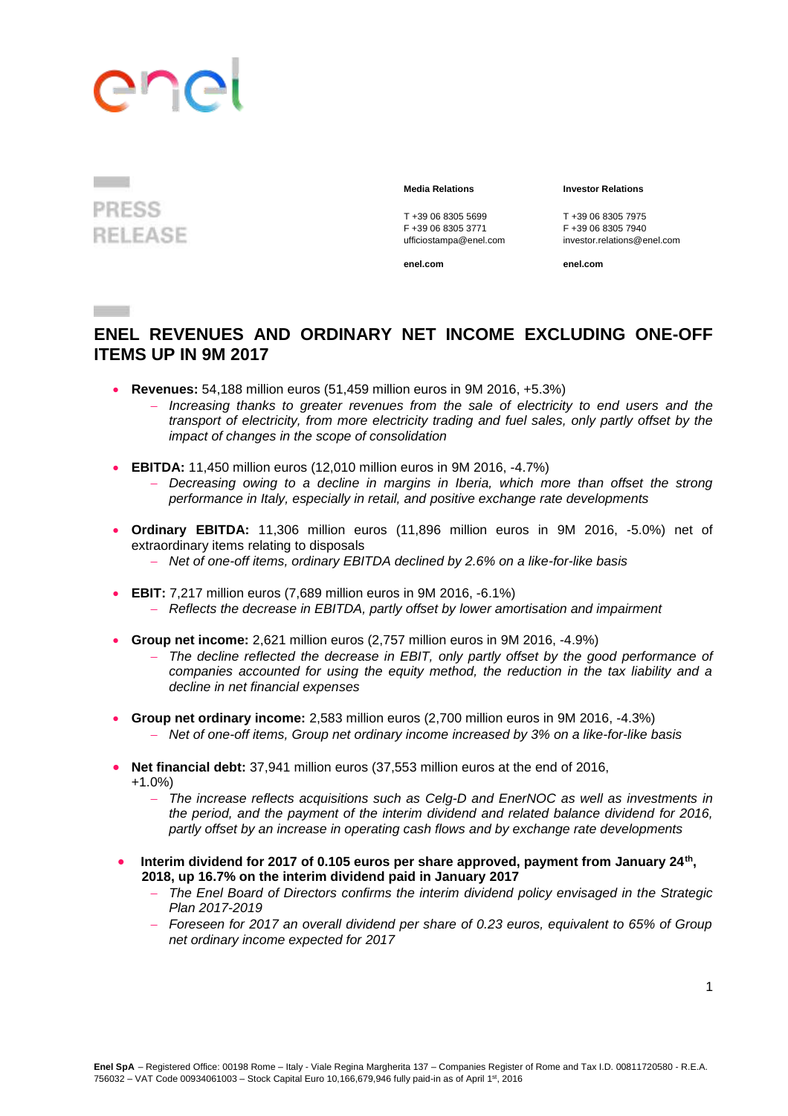### **PRESS RELEASE**

 $\sim$   $\sim$   $\sim$ 

T +39 06 8305 5699<br>F +39 06 8305 3771<br>F +39 06 8305 3771<br>F +39 06 8305 7940 F +39 06 8305 3771

**Media Relations Investor Relations**

ufficiostampa@enel.com investor.relations@enel.com

**enel.com enel.com**

### **ENEL REVENUES AND ORDINARY NET INCOME EXCLUDING ONE-OFF ITEMS UP IN 9M 2017**

- **Revenues:** 54,188 million euros (51,459 million euros in 9M 2016, +5.3%)
	- *Increasing thanks to greater revenues from the sale of electricity to end users and the transport of electricity, from more electricity trading and fuel sales, only partly offset by the impact of changes in the scope of consolidation*
- **EBITDA:** 11,450 million euros (12,010 million euros in 9M 2016, -4.7%)
	- *Decreasing owing to a decline in margins in Iberia, which more than offset the strong performance in Italy, especially in retail, and positive exchange rate developments*
- **Ordinary EBITDA:** 11,306 million euros (11,896 million euros in 9M 2016, -5.0%) net of extraordinary items relating to disposals
	- *Net of one-off items, ordinary EBITDA declined by 2.6% on a like-for-like basis*
- **EBIT:** 7,217 million euros (7,689 million euros in 9M 2016, -6.1%) *Reflects the decrease in EBITDA, partly offset by lower amortisation and impairment*
- **Group net income:** 2,621 million euros (2,757 million euros in 9M 2016, -4.9%)
	- *The decline reflected the decrease in EBIT, only partly offset by the good performance of companies accounted for using the equity method, the reduction in the tax liability and a decline in net financial expenses*
- **Group net ordinary income:** 2,583 million euros (2,700 million euros in 9M 2016, -4.3%)
	- *Net of one-off items, Group net ordinary income increased by 3% on a like-for-like basis*
- **Net financial debt:** 37,941 million euros (37,553 million euros at the end of 2016,
	- +1.0%)
		- *The increase reflects acquisitions such as Celg-D and EnerNOC as well as investments in the period, and the payment of the interim dividend and related balance dividend for 2016, partly offset by an increase in operating cash flows and by exchange rate developments*
- Interim dividend for 2017 of 0.105 euros per share approved, payment from January 24<sup>th</sup>, **2018, up 16.7% on the interim dividend paid in January 2017**
	- *The Enel Board of Directors confirms the interim dividend policy envisaged in the Strategic Plan 2017-2019*
	- *Foreseen for 2017 an overall dividend per share of 0.23 euros, equivalent to 65% of Group net ordinary income expected for 2017*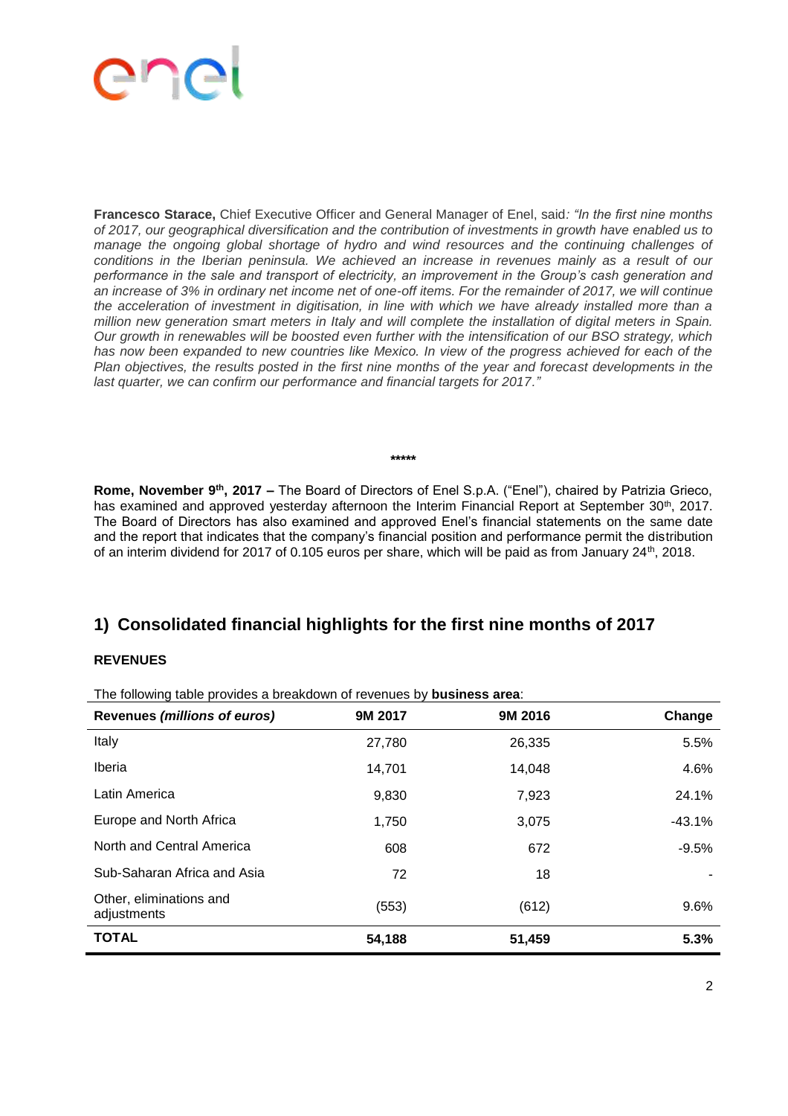**Francesco Starace,** Chief Executive Officer and General Manager of Enel, said*: "In the first nine months of 2017, our geographical diversification and the contribution of investments in growth have enabled us to manage the ongoing global shortage of hydro and wind resources and the continuing challenges of conditions in the Iberian peninsula. We achieved an increase in revenues mainly as a result of our performance in the sale and transport of electricity, an improvement in the Group's cash generation and an increase of 3% in ordinary net income net of one-off items. For the remainder of 2017, we will continue the acceleration of investment in digitisation, in line with which we have already installed more than a million new generation smart meters in Italy and will complete the installation of digital meters in Spain. Our growth in renewables will be boosted even further with the intensification of our BSO strategy, which*  has now been expanded to new countries like Mexico. In view of the progress achieved for each of the *Plan objectives, the results posted in the first nine months of the year and forecast developments in the last quarter, we can confirm our performance and financial targets for 2017."*

**\*\*\*\*\***

**Rome, November 9th, 2017 –** The Board of Directors of Enel S.p.A. ("Enel"), chaired by Patrizia Grieco, has examined and approved yesterday afternoon the Interim Financial Report at September 30<sup>th</sup>, 2017. The Board of Directors has also examined and approved Enel's financial statements on the same date and the report that indicates that the company's financial position and performance permit the distribution of an interim dividend for 2017 of 0.105 euros per share, which will be paid as from January 24<sup>th</sup>, 2018.

### **1) Consolidated financial highlights for the first nine months of 2017**

#### **REVENUES**

**Revenues** *(millions of euros)* **9M 2017 9M 2016 Change** Italy 27,780 26,335 5.5% Iberia 14,701 14,701 14,048 4.6% Latin America 24.1% Europe and North Africa **1,750** 1,750 3,075 -43.1% North and Central America 608 672 672 -9.5% Sub-Saharan Africa and Asia 18 18 18 Other, eliminations and offici, climinations and<br>adjustments (553) (612) 9.6% **TOTAL 54,188 51,459 5.3%**

The following table provides a breakdown of revenues by **business area**: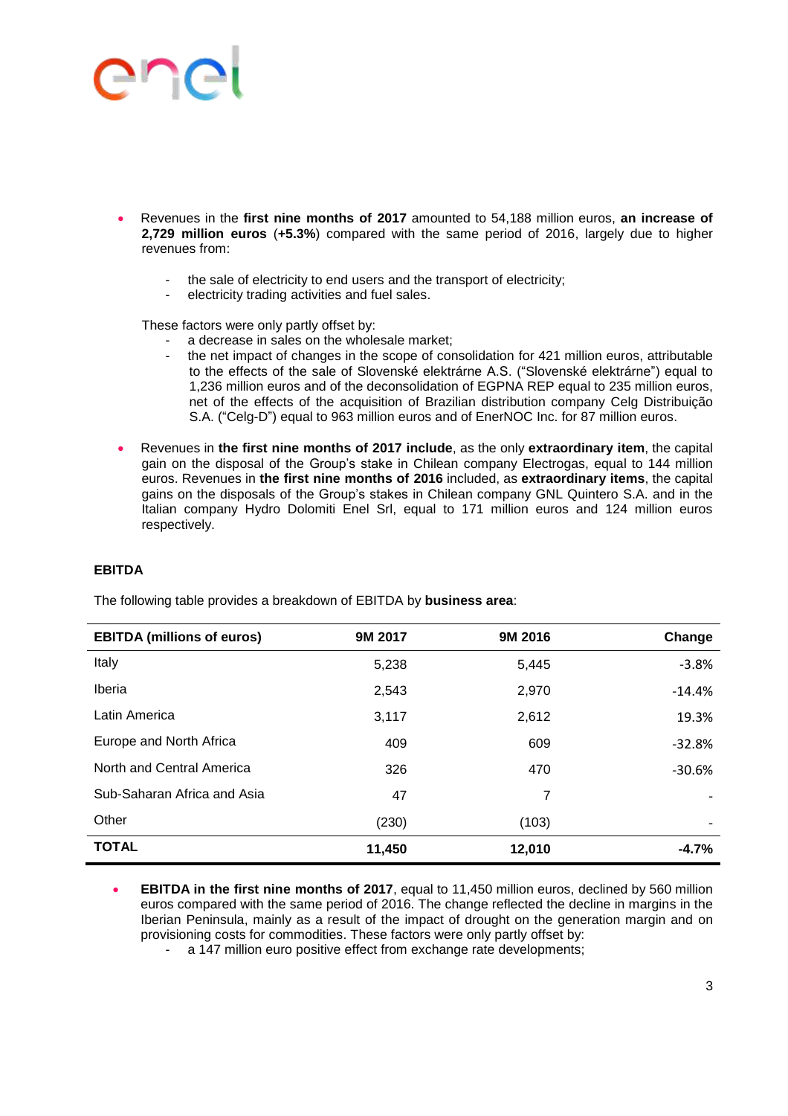# $\sum_{i=1}^{n}$

- Revenues in the **first nine months of 2017** amounted to 54,188 million euros, **an increase of 2,729 million euros** (**+5.3%**) compared with the same period of 2016, largely due to higher revenues from:
	- the sale of electricity to end users and the transport of electricity;
	- electricity trading activities and fuel sales.

These factors were only partly offset by:

- a decrease in sales on the wholesale market;
- the net impact of changes in the scope of consolidation for 421 million euros, attributable to the effects of the sale of Slovenské elektrárne A.S. ("Slovenské elektrárne") equal to 1,236 million euros and of the deconsolidation of EGPNA REP equal to 235 million euros, net of the effects of the acquisition of Brazilian distribution company Celg Distribuição S.A. ("Celg-D") equal to 963 million euros and of EnerNOC Inc. for 87 million euros.
- Revenues in **the first nine months of 2017 include**, as the only **extraordinary item**, the capital gain on the disposal of the Group's stake in Chilean company Electrogas, equal to 144 million euros. Revenues in **the first nine months of 2016** included, as **extraordinary items**, the capital gains on the disposals of the Group's stakes in Chilean company GNL Quintero S.A. and in the Italian company Hydro Dolomiti Enel Srl, equal to 171 million euros and 124 million euros respectively.

#### **EBITDA**

| <b>EBITDA (millions of euros)</b> | 9M 2017 | 9M 2016 | Change                   |
|-----------------------------------|---------|---------|--------------------------|
| Italy                             | 5,238   | 5,445   | $-3.8%$                  |
| Iberia                            | 2,543   | 2,970   | $-14.4%$                 |
| Latin America                     | 3,117   | 2,612   | 19.3%                    |
| Europe and North Africa           | 409     | 609     | $-32.8%$                 |
| North and Central America         | 326     | 470     | $-30.6%$                 |
| Sub-Saharan Africa and Asia       | 47      | 7       |                          |
| Other                             | (230)   | (103)   | $\overline{\phantom{a}}$ |
| <b>TOTAL</b>                      | 11,450  | 12,010  | $-4.7%$                  |

The following table provides a breakdown of EBITDA by **business area**:

- **EBITDA in the first nine months of 2017**, equal to 11,450 million euros, declined by 560 million euros compared with the same period of 2016. The change reflected the decline in margins in the Iberian Peninsula, mainly as a result of the impact of drought on the generation margin and on provisioning costs for commodities. These factors were only partly offset by:
	- a 147 million euro positive effect from exchange rate developments;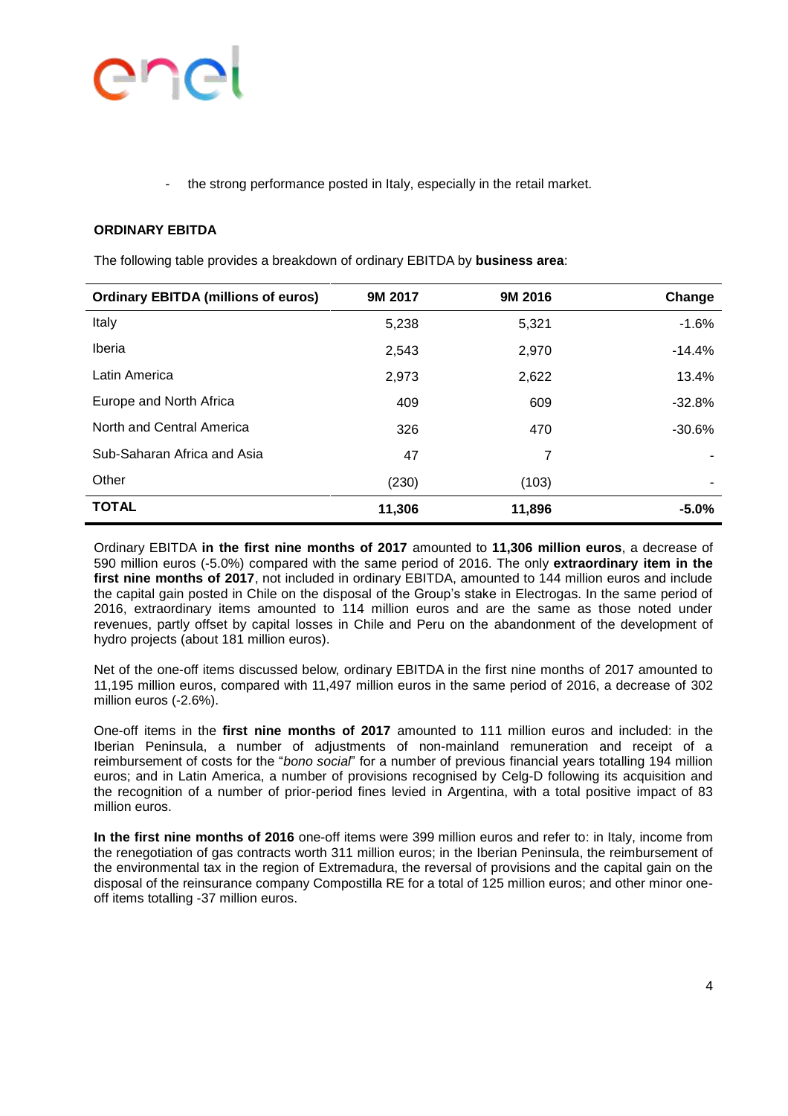### end

the strong performance posted in Italy, especially in the retail market.

#### **ORDINARY EBITDA**

The following table provides a breakdown of ordinary EBITDA by **business area**:

| <b>Ordinary EBITDA (millions of euros)</b> | 9M 2017 | 9M 2016 | Change   |
|--------------------------------------------|---------|---------|----------|
| Italy                                      | 5,238   | 5,321   | $-1.6%$  |
| Iberia                                     | 2,543   | 2,970   | $-14.4%$ |
| Latin America                              | 2,973   | 2,622   | 13.4%    |
| Europe and North Africa                    | 409     | 609     | $-32.8%$ |
| North and Central America                  | 326     | 470     | $-30.6%$ |
| Sub-Saharan Africa and Asia                | 47      | 7       |          |
| Other                                      | (230)   | (103)   |          |
| <b>TOTAL</b>                               | 11,306  | 11,896  | $-5.0%$  |

Ordinary EBITDA **in the first nine months of 2017** amounted to **11,306 million euros**, a decrease of 590 million euros (-5.0%) compared with the same period of 2016. The only **extraordinary item in the first nine months of 2017**, not included in ordinary EBITDA, amounted to 144 million euros and include the capital gain posted in Chile on the disposal of the Group's stake in Electrogas. In the same period of 2016, extraordinary items amounted to 114 million euros and are the same as those noted under revenues, partly offset by capital losses in Chile and Peru on the abandonment of the development of hydro projects (about 181 million euros).

Net of the one-off items discussed below, ordinary EBITDA in the first nine months of 2017 amounted to 11,195 million euros, compared with 11,497 million euros in the same period of 2016, a decrease of 302 million euros (-2.6%).

One-off items in the **first nine months of 2017** amounted to 111 million euros and included: in the Iberian Peninsula, a number of adjustments of non-mainland remuneration and receipt of a reimbursement of costs for the "*bono social*" for a number of previous financial years totalling 194 million euros; and in Latin America, a number of provisions recognised by Celg-D following its acquisition and the recognition of a number of prior-period fines levied in Argentina, with a total positive impact of 83 million euros.

**In the first nine months of 2016** one-off items were 399 million euros and refer to: in Italy, income from the renegotiation of gas contracts worth 311 million euros; in the Iberian Peninsula, the reimbursement of the environmental tax in the region of Extremadura, the reversal of provisions and the capital gain on the disposal of the reinsurance company Compostilla RE for a total of 125 million euros; and other minor oneoff items totalling -37 million euros.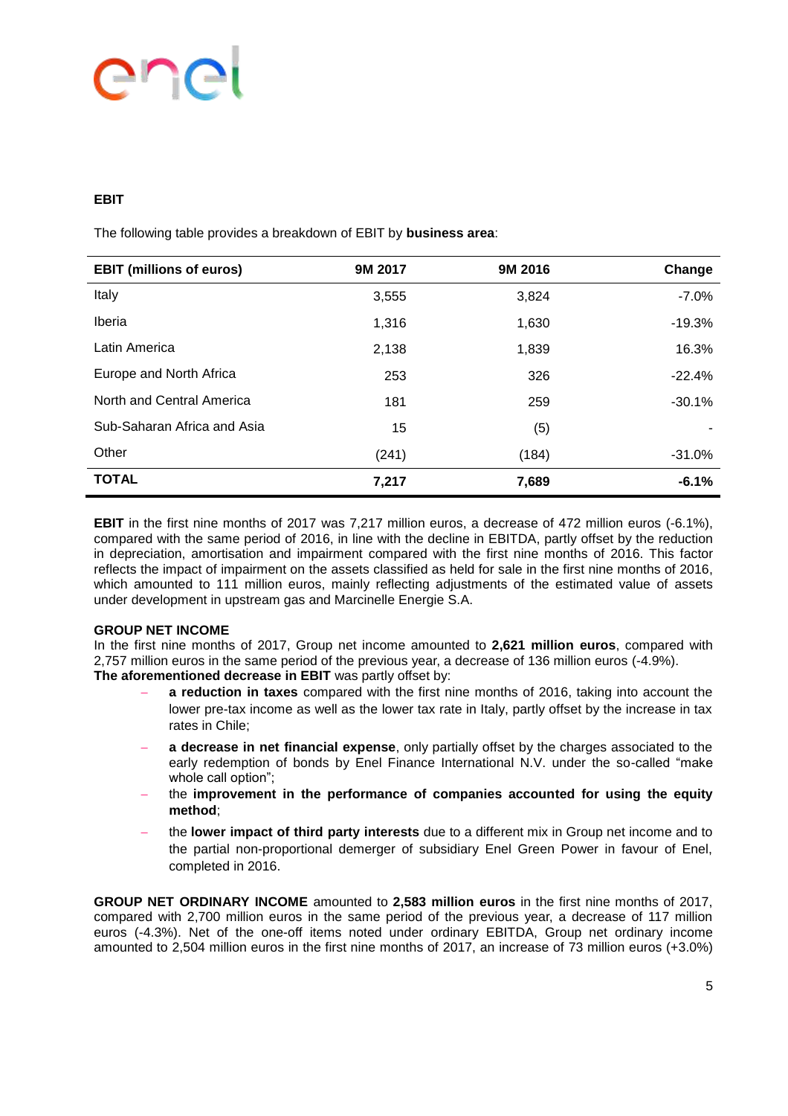# PD

#### **EBIT**

The following table provides a breakdown of EBIT by **business area**:

| <b>EBIT (millions of euros)</b> | 9M 2017 | 9M 2016 | Change   |
|---------------------------------|---------|---------|----------|
| Italy                           | 3,555   | 3,824   | $-7.0%$  |
| Iberia                          | 1,316   | 1,630   | $-19.3%$ |
| Latin America                   | 2,138   | 1,839   | 16.3%    |
| Europe and North Africa         | 253     | 326     | $-22.4%$ |
| North and Central America       | 181     | 259     | $-30.1%$ |
| Sub-Saharan Africa and Asia     | 15      | (5)     |          |
| Other                           | (241)   | (184)   | $-31.0%$ |
| <b>TOTAL</b>                    | 7,217   | 7,689   | $-6.1%$  |

**EBIT** in the first nine months of 2017 was 7,217 million euros, a decrease of 472 million euros (-6.1%), compared with the same period of 2016, in line with the decline in EBITDA, partly offset by the reduction in depreciation, amortisation and impairment compared with the first nine months of 2016. This factor reflects the impact of impairment on the assets classified as held for sale in the first nine months of 2016, which amounted to 111 million euros, mainly reflecting adjustments of the estimated value of assets under development in upstream gas and Marcinelle Energie S.A.

#### **GROUP NET INCOME**

In the first nine months of 2017, Group net income amounted to **2,621 million euros**, compared with 2,757 million euros in the same period of the previous year, a decrease of 136 million euros (-4.9%). **The aforementioned decrease in EBIT** was partly offset by:

- **a reduction in taxes** compared with the first nine months of 2016, taking into account the lower pre-tax income as well as the lower tax rate in Italy, partly offset by the increase in tax rates in Chile;
- **a decrease in net financial expense**, only partially offset by the charges associated to the early redemption of bonds by Enel Finance International N.V. under the so-called "make whole call option";
- the **improvement in the performance of companies accounted for using the equity method**;
- the **lower impact of third party interests** due to a different mix in Group net income and to the partial non-proportional demerger of subsidiary Enel Green Power in favour of Enel, completed in 2016.

**GROUP NET ORDINARY INCOME** amounted to **2,583 million euros** in the first nine months of 2017, compared with 2,700 million euros in the same period of the previous year, a decrease of 117 million euros (-4.3%). Net of the one-off items noted under ordinary EBITDA, Group net ordinary income amounted to 2,504 million euros in the first nine months of 2017, an increase of 73 million euros (+3.0%)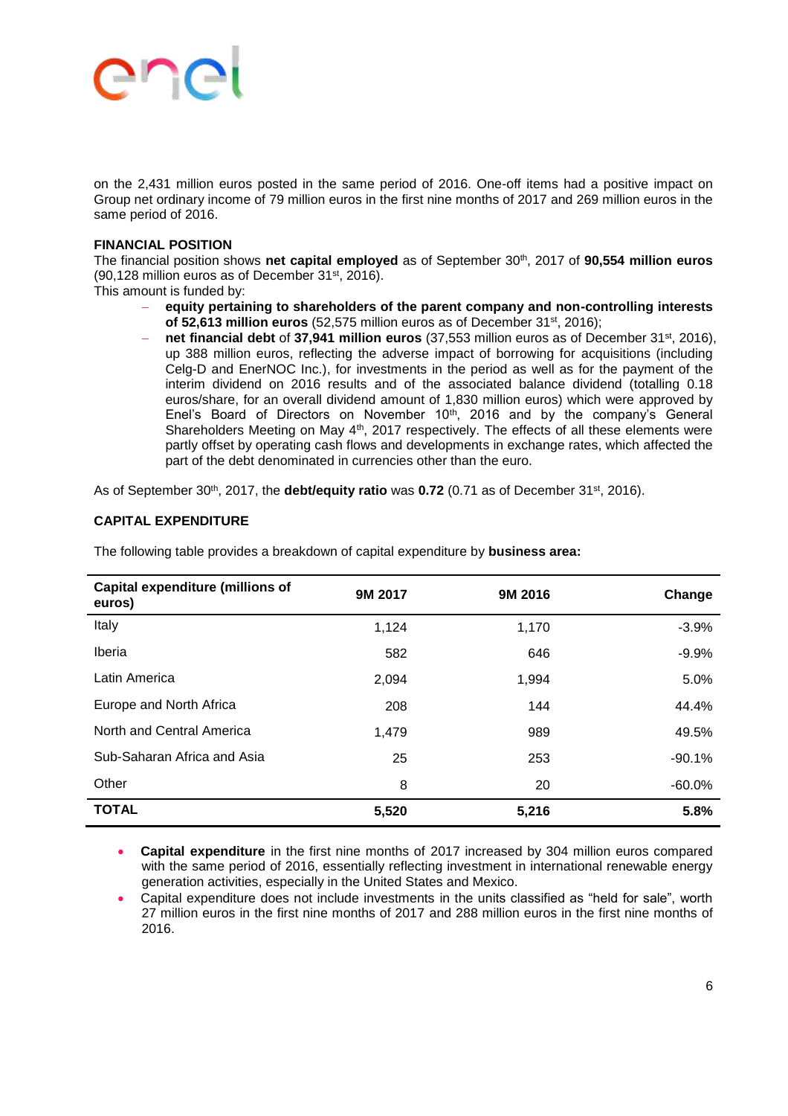# **PIC**

on the 2,431 million euros posted in the same period of 2016. One-off items had a positive impact on Group net ordinary income of 79 million euros in the first nine months of 2017 and 269 million euros in the same period of 2016.

#### **FINANCIAL POSITION**

The financial position shows **net capital employed** as of September 30th, 2017 of **90,554 million euros** (90,128 million euros as of December 31st, 2016).

This amount is funded by:

- **equity pertaining to shareholders of the parent company and non-controlling interests of 52,613 million euros** (52,575 million euros as of December 31st, 2016);
- **net financial debt** of **37,941 million euros** (37,553 million euros as of December 31st, 2016), up 388 million euros, reflecting the adverse impact of borrowing for acquisitions (including Celg-D and EnerNOC Inc.), for investments in the period as well as for the payment of the interim dividend on 2016 results and of the associated balance dividend (totalling 0.18 euros/share, for an overall dividend amount of 1,830 million euros) which were approved by Enel's Board of Directors on November 10<sup>th</sup>, 2016 and by the company's General Shareholders Meeting on May 4<sup>th</sup>, 2017 respectively. The effects of all these elements were partly offset by operating cash flows and developments in exchange rates, which affected the part of the debt denominated in currencies other than the euro.

As of September 30<sup>th</sup>, 2017, the **debt/equity ratio** was **0.72** (0.71 as of December 31<sup>st</sup>, 2016).

#### **CAPITAL EXPENDITURE**

| <b>Capital expenditure (millions of</b><br>euros) | 9M 2017 | 9M 2016 | Change    |
|---------------------------------------------------|---------|---------|-----------|
| Italy                                             | 1,124   | 1,170   | $-3.9%$   |
| Iberia                                            | 582     | 646     | $-9.9%$   |
| Latin America                                     | 2,094   | 1,994   | 5.0%      |
| Europe and North Africa                           | 208     | 144     | 44.4%     |
| North and Central America                         | 1,479   | 989     | 49.5%     |
| Sub-Saharan Africa and Asia                       | 25      | 253     | $-90.1%$  |
| Other                                             | 8       | 20      | $-60.0\%$ |
| <b>TOTAL</b>                                      | 5,520   | 5,216   | 5.8%      |

The following table provides a breakdown of capital expenditure by **business area:** 

 **Capital expenditure** in the first nine months of 2017 increased by 304 million euros compared with the same period of 2016, essentially reflecting investment in international renewable energy generation activities, especially in the United States and Mexico.

 Capital expenditure does not include investments in the units classified as "held for sale", worth 27 million euros in the first nine months of 2017 and 288 million euros in the first nine months of 2016.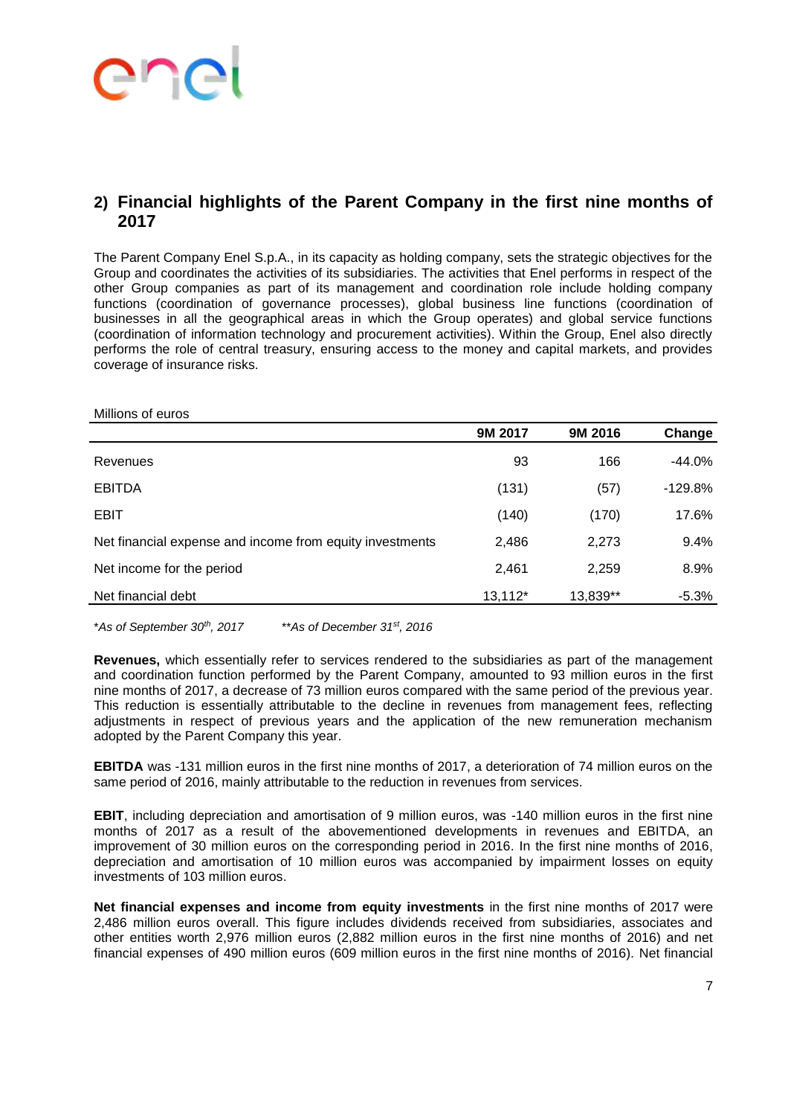# enc

### **2) Financial highlights of the Parent Company in the first nine months of 2017**

The Parent Company Enel S.p.A., in its capacity as holding company, sets the strategic objectives for the Group and coordinates the activities of its subsidiaries. The activities that Enel performs in respect of the other Group companies as part of its management and coordination role include holding company functions (coordination of governance processes), global business line functions (coordination of businesses in all the geographical areas in which the Group operates) and global service functions (coordination of information technology and procurement activities). Within the Group, Enel also directly performs the role of central treasury, ensuring access to the money and capital markets, and provides coverage of insurance risks.

| Millions of euros                                        |         |          |           |
|----------------------------------------------------------|---------|----------|-----------|
|                                                          | 9M 2017 | 9M 2016  | Change    |
| Revenues                                                 | 93      | 166      | $-44.0\%$ |
| <b>EBITDA</b>                                            | (131)   | (57)     | $-129.8%$ |
| <b>EBIT</b>                                              | (140)   | (170)    | 17.6%     |
| Net financial expense and income from equity investments | 2,486   | 2,273    | 9.4%      |
| Net income for the period                                | 2,461   | 2,259    | 8.9%      |
| Net financial debt                                       | 13,112* | 13,839** | $-5.3\%$  |

\**As of September 30th, 2017* \*\**As of December 31st, 2016*

**Revenues,** which essentially refer to services rendered to the subsidiaries as part of the management and coordination function performed by the Parent Company, amounted to 93 million euros in the first nine months of 2017, a decrease of 73 million euros compared with the same period of the previous year. This reduction is essentially attributable to the decline in revenues from management fees, reflecting adjustments in respect of previous years and the application of the new remuneration mechanism adopted by the Parent Company this year.

**EBITDA** was -131 million euros in the first nine months of 2017, a deterioration of 74 million euros on the same period of 2016, mainly attributable to the reduction in revenues from services.

**EBIT**, including depreciation and amortisation of 9 million euros, was -140 million euros in the first nine months of 2017 as a result of the abovementioned developments in revenues and EBITDA, an improvement of 30 million euros on the corresponding period in 2016. In the first nine months of 2016, depreciation and amortisation of 10 million euros was accompanied by impairment losses on equity investments of 103 million euros.

**Net financial expenses and income from equity investments** in the first nine months of 2017 were 2,486 million euros overall. This figure includes dividends received from subsidiaries, associates and other entities worth 2,976 million euros (2,882 million euros in the first nine months of 2016) and net financial expenses of 490 million euros (609 million euros in the first nine months of 2016). Net financial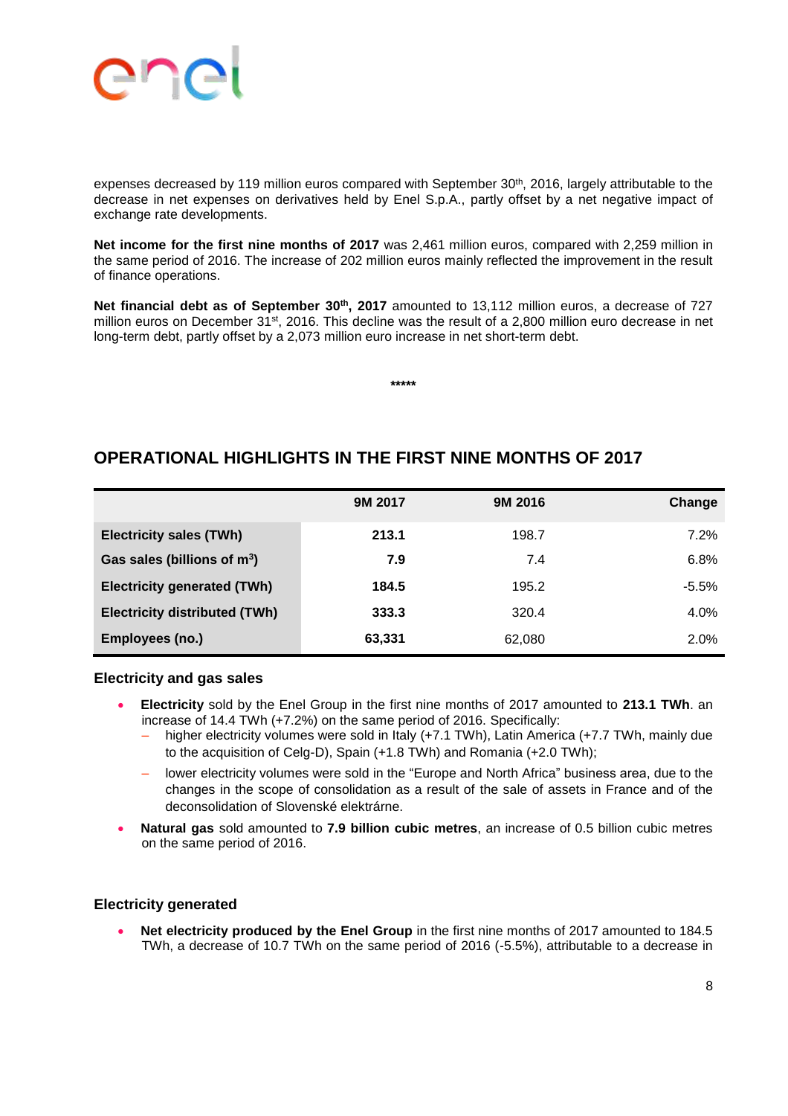

expenses decreased by 119 million euros compared with September 30<sup>th</sup>, 2016, largely attributable to the decrease in net expenses on derivatives held by Enel S.p.A., partly offset by a net negative impact of exchange rate developments.

**Net income for the first nine months of 2017** was 2,461 million euros, compared with 2,259 million in the same period of 2016. The increase of 202 million euros mainly reflected the improvement in the result of finance operations.

**Net financial debt as of September 30th, 2017** amounted to 13,112 million euros, a decrease of 727 million euros on December 31<sup>st</sup>, 2016. This decline was the result of a 2,800 million euro decrease in net long-term debt, partly offset by a 2,073 million euro increase in net short-term debt.

**\*\*\*\*\***

### **OPERATIONAL HIGHLIGHTS IN THE FIRST NINE MONTHS OF 2017**

|                                         | 9M 2017 | 9M 2016 | Change  |
|-----------------------------------------|---------|---------|---------|
| <b>Electricity sales (TWh)</b>          | 213.1   | 198.7   | 7.2%    |
| Gas sales (billions of m <sup>3</sup> ) | 7.9     | 7.4     | 6.8%    |
| <b>Electricity generated (TWh)</b>      | 184.5   | 195.2   | $-5.5%$ |
| <b>Electricity distributed (TWh)</b>    | 333.3   | 320.4   | 4.0%    |
| Employees (no.)                         | 63,331  | 62,080  | 2.0%    |

#### **Electricity and gas sales**

- **Electricity** sold by the Enel Group in the first nine months of 2017 amounted to **213.1 TWh**. an increase of 14.4 TWh (+7.2%) on the same period of 2016. Specifically:
	- ‒ higher electricity volumes were sold in Italy (+7.1 TWh), Latin America (+7.7 TWh, mainly due to the acquisition of Celg-D), Spain (+1.8 TWh) and Romania (+2.0 TWh);
	- lower electricity volumes were sold in the "Europe and North Africa" business area, due to the changes in the scope of consolidation as a result of the sale of assets in France and of the deconsolidation of Slovenské elektrárne.
- **Natural gas** sold amounted to **7.9 billion cubic metres**, an increase of 0.5 billion cubic metres on the same period of 2016.

#### **Electricity generated**

**Net electricity produced by the Enel Group** in the first nine months of 2017 amounted to 184.5 TWh, a decrease of 10.7 TWh on the same period of 2016 (-5.5%), attributable to a decrease in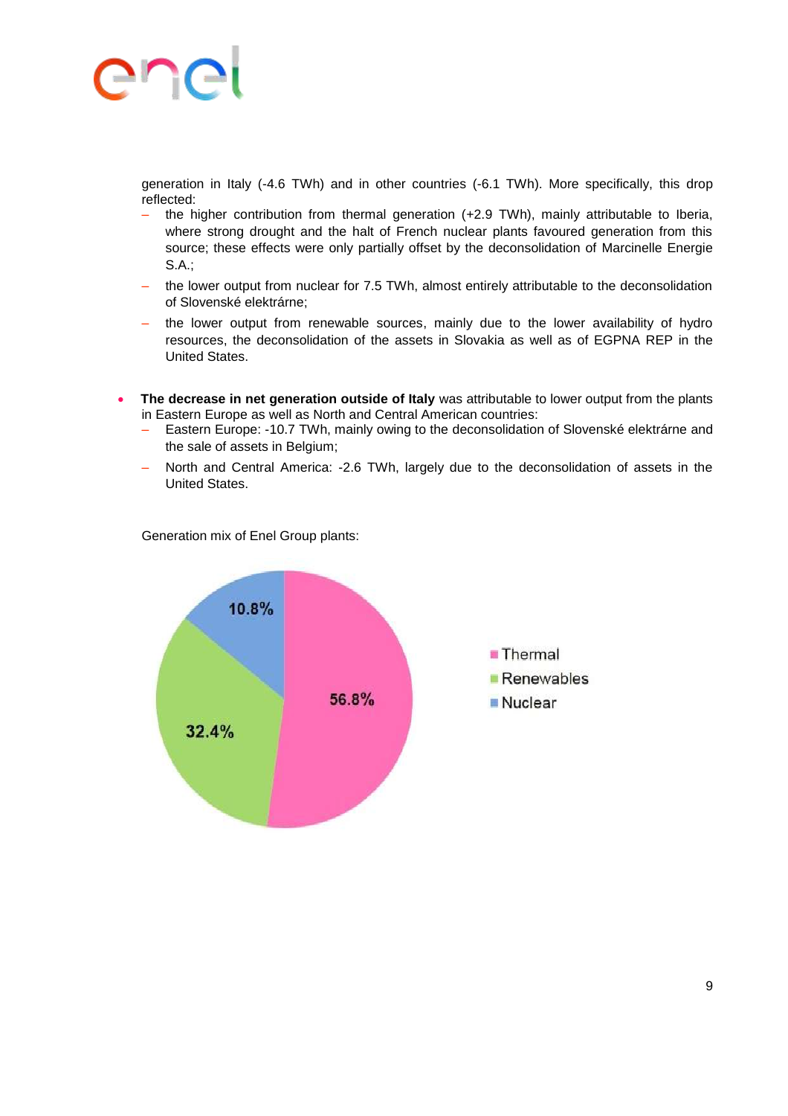generation in Italy (-4.6 TWh) and in other countries (-6.1 TWh). More specifically, this drop reflected:

- ‒ the higher contribution from thermal generation (+2.9 TWh), mainly attributable to Iberia, where strong drought and the halt of French nuclear plants favoured generation from this source; these effects were only partially offset by the deconsolidation of Marcinelle Energie S.A.;
- ‒ the lower output from nuclear for 7.5 TWh, almost entirely attributable to the deconsolidation of Slovenské elektrárne;
- ‒ the lower output from renewable sources, mainly due to the lower availability of hydro resources, the deconsolidation of the assets in Slovakia as well as of EGPNA REP in the United States.
- **The decrease in net generation outside of Italy** was attributable to lower output from the plants in Eastern Europe as well as North and Central American countries:
	- Eastern Europe: -10.7 TWh, mainly owing to the deconsolidation of Slovenské elektrárne and the sale of assets in Belgium;
	- ‒ North and Central America: -2.6 TWh, largely due to the deconsolidation of assets in the United States.

Generation mix of Enel Group plants:

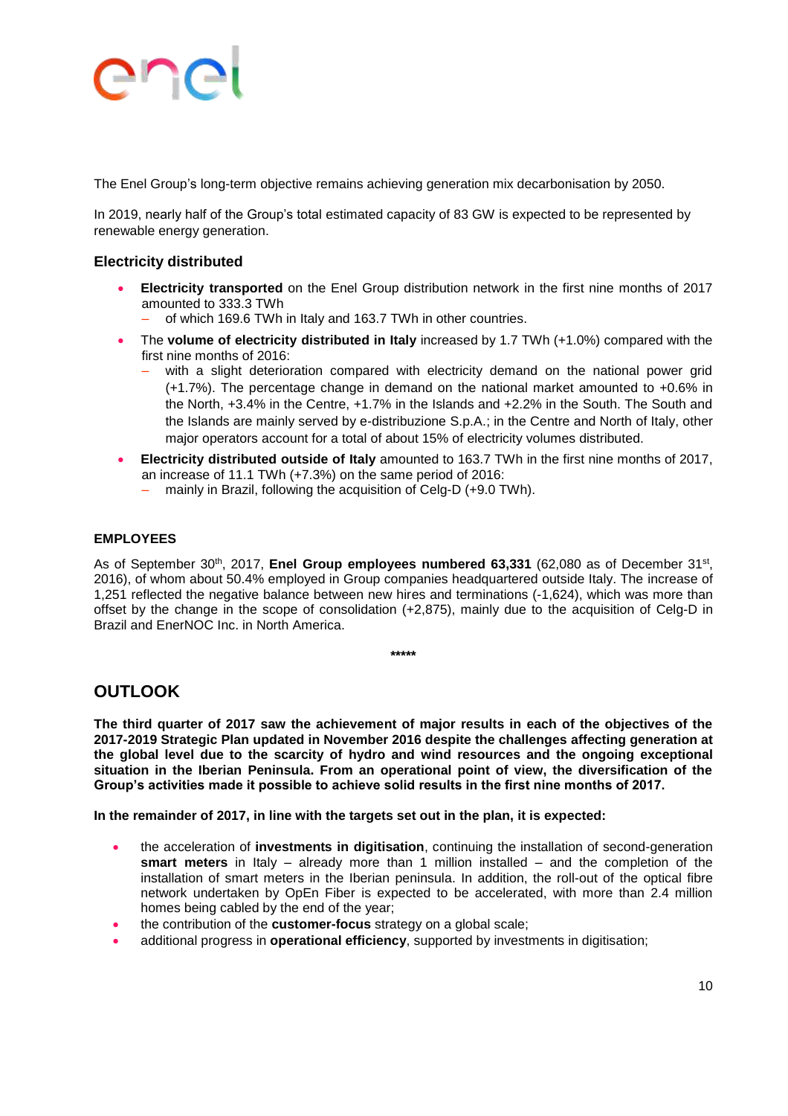The Enel Group's long-term objective remains achieving generation mix decarbonisation by 2050.

In 2019, nearly half of the Group's total estimated capacity of 83 GW is expected to be represented by renewable energy generation.

#### **Electricity distributed**

- **Electricity transported** on the Enel Group distribution network in the first nine months of 2017 amounted to 333.3 TWh
	- ‒ of which 169.6 TWh in Italy and 163.7 TWh in other countries.
- The **volume of electricity distributed in Italy** increased by 1.7 TWh (+1.0%) compared with the first nine months of 2016:
	- with a slight deterioration compared with electricity demand on the national power grid (+1.7%). The percentage change in demand on the national market amounted to +0.6% in the North, +3.4% in the Centre, +1.7% in the Islands and +2.2% in the South. The South and the Islands are mainly served by e-distribuzione S.p.A.; in the Centre and North of Italy, other major operators account for a total of about 15% of electricity volumes distributed.
- **Electricity distributed outside of Italy** amounted to 163.7 TWh in the first nine months of 2017, an increase of 11.1 TWh (+7.3%) on the same period of 2016:
	- mainly in Brazil, following the acquisition of Celg-D (+9.0 TWh).

#### **EMPLOYEES**

As of September 30<sup>th</sup>, 2017, **Enel Group employees numbered 63,331** (62,080 as of December 31st, 2016), of whom about 50.4% employed in Group companies headquartered outside Italy. The increase of 1,251 reflected the negative balance between new hires and terminations (-1,624), which was more than offset by the change in the scope of consolidation (+2,875), mainly due to the acquisition of Celg-D in Brazil and EnerNOC Inc. in North America.

#### **\*\*\*\*\***

#### **OUTLOOK**

**The third quarter of 2017 saw the achievement of major results in each of the objectives of the 2017-2019 Strategic Plan updated in November 2016 despite the challenges affecting generation at the global level due to the scarcity of hydro and wind resources and the ongoing exceptional situation in the Iberian Peninsula. From an operational point of view, the diversification of the Group's activities made it possible to achieve solid results in the first nine months of 2017.** 

**In the remainder of 2017, in line with the targets set out in the plan, it is expected:**

- the acceleration of **investments in digitisation**, continuing the installation of second-generation **smart meters** in Italy – already more than 1 million installed – and the completion of the installation of smart meters in the Iberian peninsula. In addition, the roll-out of the optical fibre network undertaken by OpEn Fiber is expected to be accelerated, with more than 2.4 million homes being cabled by the end of the year;
- the contribution of the **customer-focus** strategy on a global scale;
- additional progress in **operational efficiency**, supported by investments in digitisation;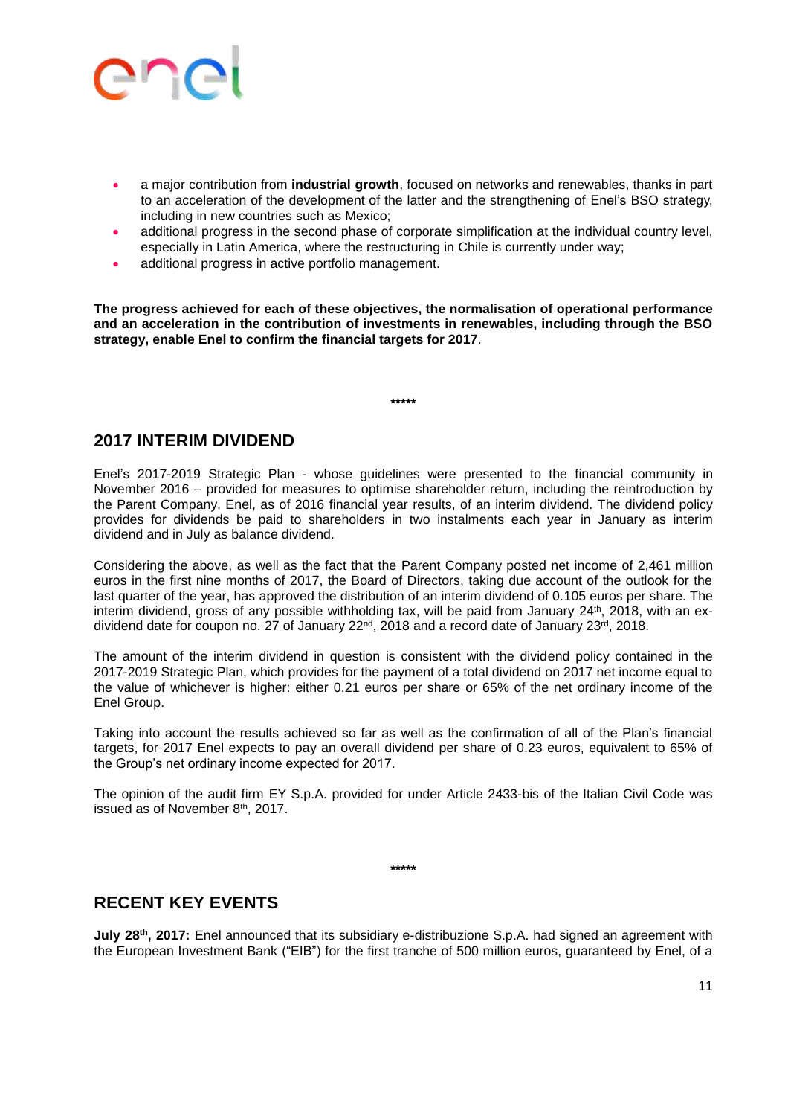

- a major contribution from **industrial growth**, focused on networks and renewables, thanks in part to an acceleration of the development of the latter and the strengthening of Enel's BSO strategy, including in new countries such as Mexico;
- additional progress in the second phase of corporate simplification at the individual country level, especially in Latin America, where the restructuring in Chile is currently under way;
- additional progress in active portfolio management.

**The progress achieved for each of these objectives, the normalisation of operational performance and an acceleration in the contribution of investments in renewables, including through the BSO strategy, enable Enel to confirm the financial targets for 2017**.

**\*\*\*\*\***

#### **2017 INTERIM DIVIDEND**

Enel's 2017-2019 Strategic Plan - whose guidelines were presented to the financial community in November 2016 – provided for measures to optimise shareholder return, including the reintroduction by the Parent Company, Enel, as of 2016 financial year results, of an interim dividend. The dividend policy provides for dividends be paid to shareholders in two instalments each year in January as interim dividend and in July as balance dividend.

Considering the above, as well as the fact that the Parent Company posted net income of 2,461 million euros in the first nine months of 2017, the Board of Directors, taking due account of the outlook for the last quarter of the year, has approved the distribution of an interim dividend of 0.105 euros per share. The interim dividend, gross of any possible withholding tax, will be paid from January 24 th, 2018, with an exdividend date for coupon no. 27 of January 22<sup>nd</sup>, 2018 and a record date of January 23<sup>rd</sup>, 2018.

The amount of the interim dividend in question is consistent with the dividend policy contained in the 2017-2019 Strategic Plan, which provides for the payment of a total dividend on 2017 net income equal to the value of whichever is higher: either 0.21 euros per share or 65% of the net ordinary income of the Enel Group.

Taking into account the results achieved so far as well as the confirmation of all of the Plan's financial targets, for 2017 Enel expects to pay an overall dividend per share of 0.23 euros, equivalent to 65% of the Group's net ordinary income expected for 2017.

The opinion of the audit firm EY S.p.A. provided for under Article 2433-bis of the Italian Civil Code was issued as of November 8<sup>th</sup>, 2017.

**\*\*\*\*\***

### **RECENT KEY EVENTS**

**July 28th, 2017:** Enel announced that its subsidiary e-distribuzione S.p.A. had signed an agreement with the European Investment Bank ("EIB") for the first tranche of 500 million euros, guaranteed by Enel, of a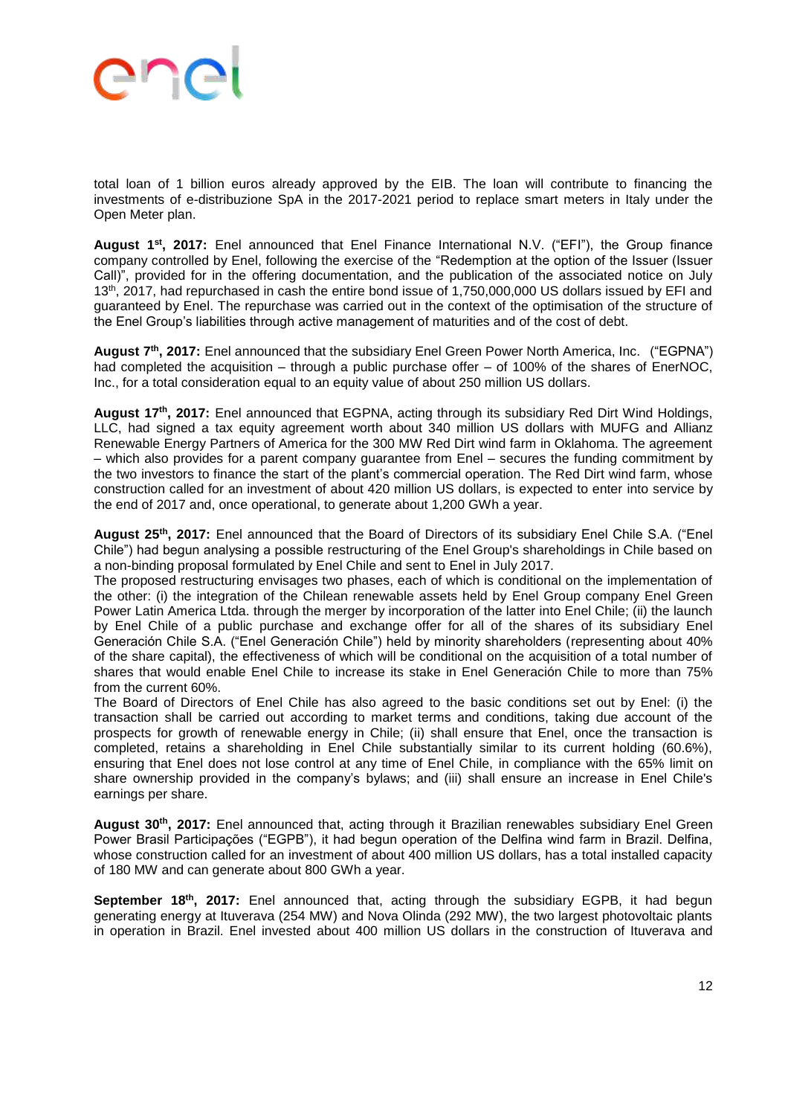total loan of 1 billion euros already approved by the EIB. The loan will contribute to financing the investments of e-distribuzione SpA in the 2017-2021 period to replace smart meters in Italy under the Open Meter plan.

**August 1st, 2017:** Enel announced that Enel Finance International N.V. ("EFI"), the Group finance company controlled by Enel, following the exercise of the "Redemption at the option of the Issuer (Issuer Call)", provided for in the offering documentation, and the publication of the associated notice on July 13th, 2017, had repurchased in cash the entire bond issue of 1,750,000,000 US dollars issued by EFI and guaranteed by Enel. The repurchase was carried out in the context of the optimisation of the structure of the Enel Group's liabilities through active management of maturities and of the cost of debt.

**August 7th, 2017:** Enel announced that the subsidiary Enel Green Power North America, Inc. ("EGPNA") had completed the acquisition – through a public purchase offer – of 100% of the shares of EnerNOC, Inc., for a total consideration equal to an equity value of about 250 million US dollars.

**August 17th, 2017:** Enel announced that EGPNA, acting through its subsidiary Red Dirt Wind Holdings, LLC, had signed a tax equity agreement worth about 340 million US dollars with MUFG and Allianz Renewable Energy Partners of America for the 300 MW Red Dirt wind farm in Oklahoma. The agreement – which also provides for a parent company guarantee from Enel – secures the funding commitment by the two investors to finance the start of the plant's commercial operation. The Red Dirt wind farm, whose construction called for an investment of about 420 million US dollars, is expected to enter into service by the end of 2017 and, once operational, to generate about 1,200 GWh a year.

**August 25th, 2017:** Enel announced that the Board of Directors of its subsidiary Enel Chile S.A. ("Enel Chile") had begun analysing a possible restructuring of the Enel Group's shareholdings in Chile based on a non-binding proposal formulated by Enel Chile and sent to Enel in July 2017.

The proposed restructuring envisages two phases, each of which is conditional on the implementation of the other: (i) the integration of the Chilean renewable assets held by Enel Group company Enel Green Power Latin America Ltda. through the merger by incorporation of the latter into Enel Chile; (ii) the launch by Enel Chile of a public purchase and exchange offer for all of the shares of its subsidiary Enel Generación Chile S.A. ("Enel Generación Chile") held by minority shareholders (representing about 40% of the share capital), the effectiveness of which will be conditional on the acquisition of a total number of shares that would enable Enel Chile to increase its stake in Enel Generación Chile to more than 75% from the current 60%.

The Board of Directors of Enel Chile has also agreed to the basic conditions set out by Enel: (i) the transaction shall be carried out according to market terms and conditions, taking due account of the prospects for growth of renewable energy in Chile; (ii) shall ensure that Enel, once the transaction is completed, retains a shareholding in Enel Chile substantially similar to its current holding (60.6%), ensuring that Enel does not lose control at any time of Enel Chile, in compliance with the 65% limit on share ownership provided in the company's bylaws; and (iii) shall ensure an increase in Enel Chile's earnings per share.

**August 30th, 2017:** Enel announced that, acting through it Brazilian renewables subsidiary Enel Green Power Brasil Participações ("EGPB"), it had begun operation of the Delfina wind farm in Brazil. Delfina, whose construction called for an investment of about 400 million US dollars, has a total installed capacity of 180 MW and can generate about 800 GWh a year.

September 18<sup>th</sup>, 2017: Enel announced that, acting through the subsidiary EGPB, it had begun generating energy at Ituverava (254 MW) and Nova Olinda (292 MW), the two largest photovoltaic plants in operation in Brazil. Enel invested about 400 million US dollars in the construction of Ituverava and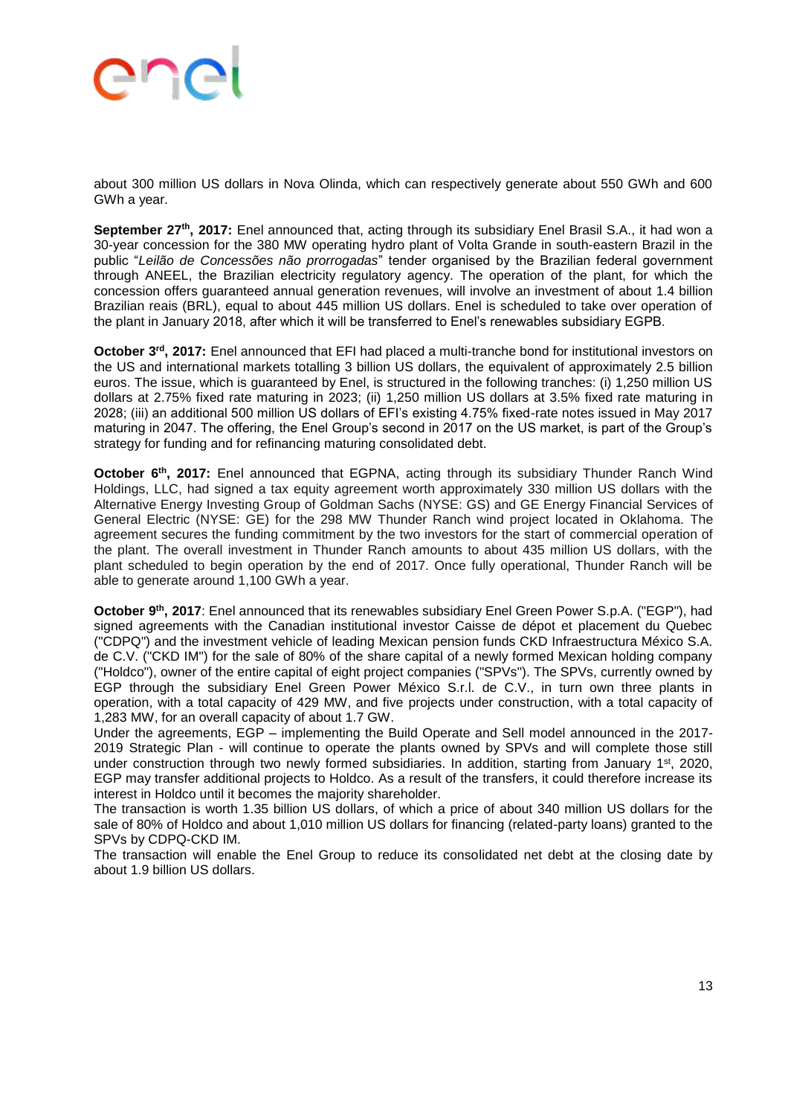# **SUG**

about 300 million US dollars in Nova Olinda, which can respectively generate about 550 GWh and 600 GWh a year.

**September 27th, 2017:** Enel announced that, acting through its subsidiary Enel Brasil S.A., it had won a 30-year concession for the 380 MW operating hydro plant of Volta Grande in south-eastern Brazil in the public "*Leilão de Concessões não prorrogadas*" tender organised by the Brazilian federal government through ANEEL, the Brazilian electricity regulatory agency. The operation of the plant, for which the concession offers guaranteed annual generation revenues, will involve an investment of about 1.4 billion Brazilian reais (BRL), equal to about 445 million US dollars. Enel is scheduled to take over operation of the plant in January 2018, after which it will be transferred to Enel's renewables subsidiary EGPB.

**October 3rd, 2017:** Enel announced that EFI had placed a multi-tranche bond for institutional investors on the US and international markets totalling 3 billion US dollars, the equivalent of approximately 2.5 billion euros. The issue, which is guaranteed by Enel, is structured in the following tranches: (i) 1,250 million US dollars at 2.75% fixed rate maturing in 2023; (ii) 1,250 million US dollars at 3.5% fixed rate maturing in 2028; (iii) an additional 500 million US dollars of EFI's existing 4.75% fixed-rate notes issued in May 2017 maturing in 2047. The offering, the Enel Group's second in 2017 on the US market, is part of the Group's strategy for funding and for refinancing maturing consolidated debt.

**October 6<sup>th</sup>, 2017:** Enel announced that EGPNA, acting through its subsidiary Thunder Ranch Wind Holdings, LLC, had signed a tax equity agreement worth approximately 330 million US dollars with the Alternative Energy Investing Group of Goldman Sachs (NYSE: GS) and GE Energy Financial Services of General Electric (NYSE: GE) for the 298 MW Thunder Ranch wind project located in Oklahoma. The agreement secures the funding commitment by the two investors for the start of commercial operation of the plant. The overall investment in Thunder Ranch amounts to about 435 million US dollars, with the plant scheduled to begin operation by the end of 2017. Once fully operational, Thunder Ranch will be able to generate around 1,100 GWh a year.

**October 9th, 2017**: Enel announced that its renewables subsidiary Enel Green Power S.p.A. ("EGP"), had signed agreements with the Canadian institutional investor Caisse de dépot et placement du Quebec ("CDPQ") and the investment vehicle of leading Mexican pension funds CKD Infraestructura México S.A. de C.V. ("CKD IM") for the sale of 80% of the share capital of a newly formed Mexican holding company ("Holdco"), owner of the entire capital of eight project companies ("SPVs"). The SPVs, currently owned by EGP through the subsidiary Enel Green Power México S.r.l. de C.V., in turn own three plants in operation, with a total capacity of 429 MW, and five projects under construction, with a total capacity of 1,283 MW, for an overall capacity of about 1.7 GW.

Under the agreements, EGP – implementing the Build Operate and Sell model announced in the 2017- 2019 Strategic Plan - will continue to operate the plants owned by SPVs and will complete those still under construction through two newly formed subsidiaries. In addition, starting from January 1st, 2020, EGP may transfer additional projects to Holdco. As a result of the transfers, it could therefore increase its interest in Holdco until it becomes the majority shareholder.

The transaction is worth 1.35 billion US dollars, of which a price of about 340 million US dollars for the sale of 80% of Holdco and about 1,010 million US dollars for financing (related-party loans) granted to the SPVs by CDPQ-CKD IM.

The transaction will enable the Enel Group to reduce its consolidated net debt at the closing date by about 1.9 billion US dollars.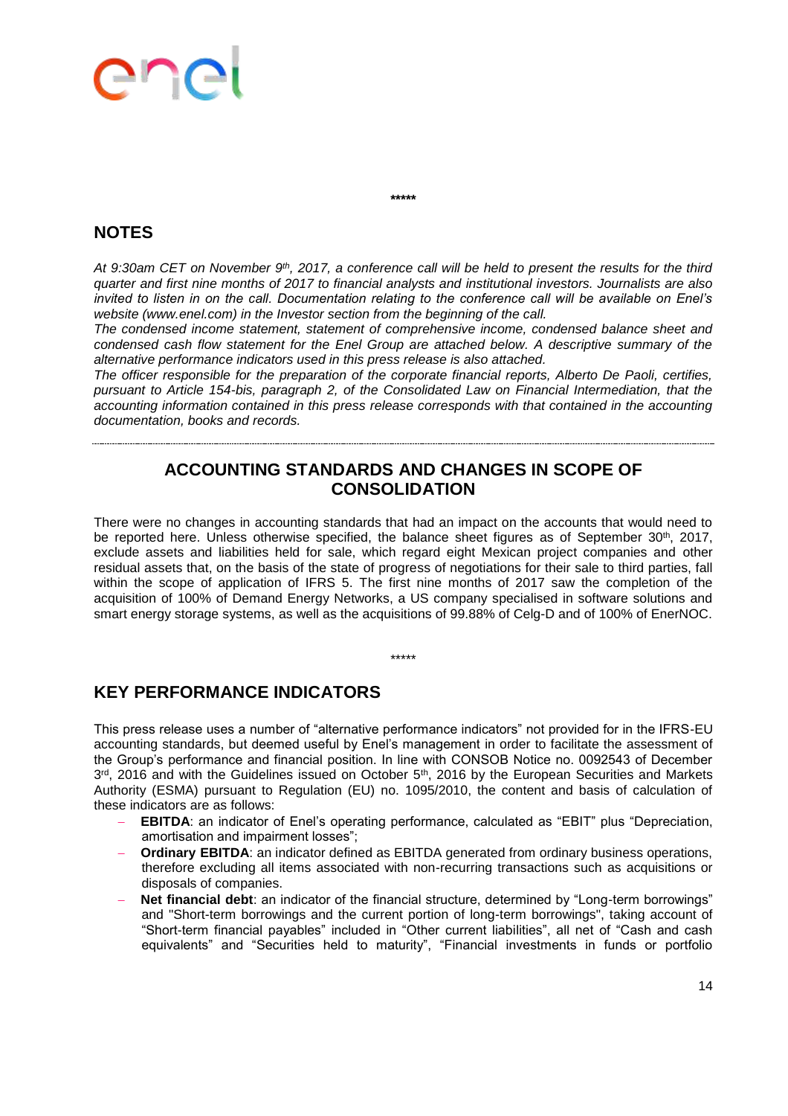## end

**\*\*\*\*\***

### **NOTES**

*At 9:30am CET on November 9th, 2017, a conference call will be held to present the results for the third quarter and first nine months of 2017 to financial analysts and institutional investors. Journalists are also invited to listen in on the call. Documentation relating to the conference call will be available on Enel's website (www.enel.com) in the Investor section from the beginning of the call.* 

*The condensed income statement, statement of comprehensive income, condensed balance sheet and condensed cash flow statement for the Enel Group are attached below. A descriptive summary of the alternative performance indicators used in this press release is also attached.* 

*The officer responsible for the preparation of the corporate financial reports, Alberto De Paoli, certifies, pursuant to Article 154-bis, paragraph 2, of the Consolidated Law on Financial Intermediation, that the accounting information contained in this press release corresponds with that contained in the accounting documentation, books and records.*

### **ACCOUNTING STANDARDS AND CHANGES IN SCOPE OF CONSOLIDATION**

There were no changes in accounting standards that had an impact on the accounts that would need to be reported here. Unless otherwise specified, the balance sheet figures as of September 30<sup>th</sup>, 2017, exclude assets and liabilities held for sale, which regard eight Mexican project companies and other residual assets that, on the basis of the state of progress of negotiations for their sale to third parties, fall within the scope of application of IFRS 5. The first nine months of 2017 saw the completion of the acquisition of 100% of Demand Energy Networks, a US company specialised in software solutions and smart energy storage systems, as well as the acquisitions of 99.88% of Celg-D and of 100% of EnerNOC.

\*\*\*\*\*

### **KEY PERFORMANCE INDICATORS**

This press release uses a number of "alternative performance indicators" not provided for in the IFRS-EU accounting standards, but deemed useful by Enel's management in order to facilitate the assessment of the Group's performance and financial position. In line with CONSOB Notice no. 0092543 of December  $3^{rd}$ , 2016 and with the Guidelines issued on October 5<sup>th</sup>, 2016 by the European Securities and Markets Authority (ESMA) pursuant to Regulation (EU) no. 1095/2010, the content and basis of calculation of these indicators are as follows:

- **EBITDA**: an indicator of Enel's operating performance, calculated as "EBIT" plus "Depreciation, amortisation and impairment losses";
- **Ordinary EBITDA**: an indicator defined as EBITDA generated from ordinary business operations, therefore excluding all items associated with non-recurring transactions such as acquisitions or disposals of companies.
- **Net financial debt**: an indicator of the financial structure, determined by "Long-term borrowings" and "Short-term borrowings and the current portion of long-term borrowings", taking account of "Short-term financial payables" included in "Other current liabilities", all net of "Cash and cash equivalents" and "Securities held to maturity", "Financial investments in funds or portfolio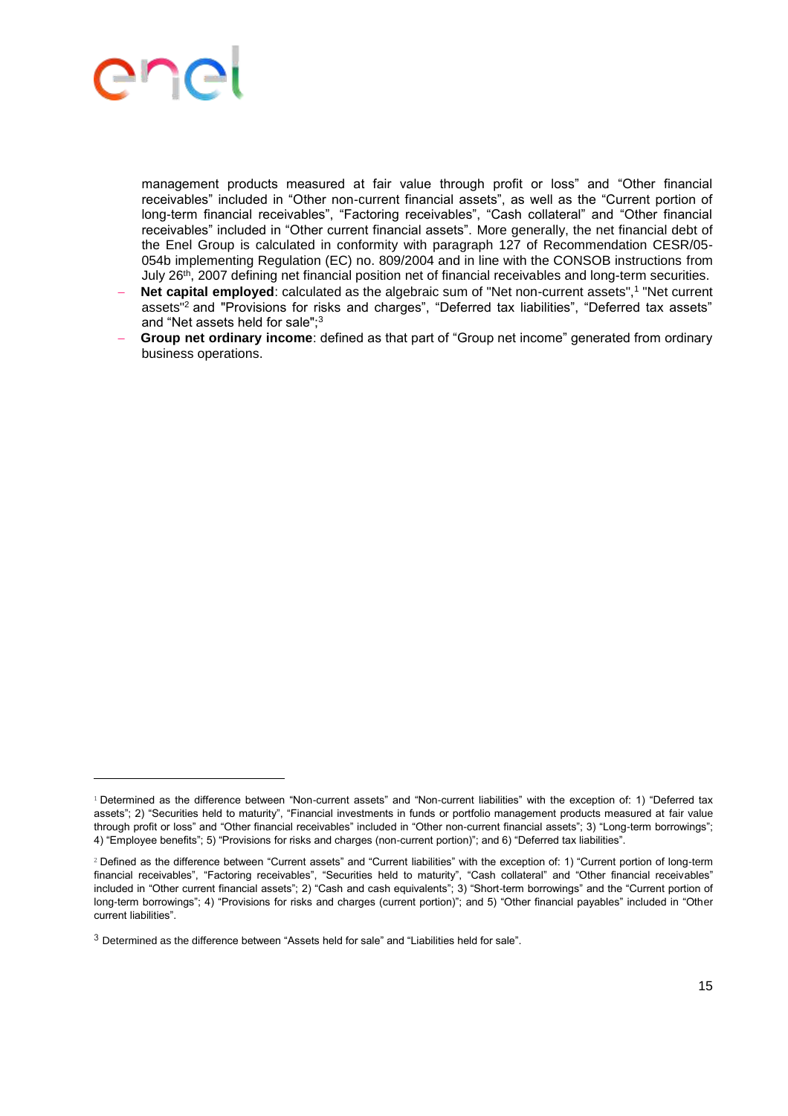

 $\overline{a}$ 

management products measured at fair value through profit or loss" and "Other financial receivables" included in "Other non-current financial assets", as well as the "Current portion of long-term financial receivables", "Factoring receivables", "Cash collateral" and "Other financial receivables" included in "Other current financial assets". More generally, the net financial debt of the Enel Group is calculated in conformity with paragraph 127 of Recommendation CESR/05- 054b implementing Regulation (EC) no. 809/2004 and in line with the CONSOB instructions from July 26th, 2007 defining net financial position net of financial receivables and long-term securities.

- **Net capital employed**: calculated as the algebraic sum of "Net non-current assets",<sup>1</sup> "Net current assets"<sup>2</sup> and "Provisions for risks and charges", "Deferred tax liabilities", "Deferred tax assets" and "Net assets held for sale";<sup>3</sup>
- **Group net ordinary income**: defined as that part of "Group net income" generated from ordinary business operations.

<sup>1</sup> Determined as the difference between "Non-current assets" and "Non-current liabilities" with the exception of: 1) "Deferred tax assets"; 2) "Securities held to maturity", "Financial investments in funds or portfolio management products measured at fair value through profit or loss" and "Other financial receivables" included in "Other non-current financial assets"; 3) "Long-term borrowings"; 4) "Employee benefits"; 5) "Provisions for risks and charges (non-current portion)"; and 6) "Deferred tax liabilities".

<sup>2</sup> Defined as the difference between "Current assets" and "Current liabilities" with the exception of: 1) "Current portion of long-term financial receivables", "Factoring receivables", "Securities held to maturity", "Cash collateral" and "Other financial receivables" included in "Other current financial assets"; 2) "Cash and cash equivalents"; 3) "Short-term borrowings" and the "Current portion of long-term borrowings"; 4) "Provisions for risks and charges (current portion)"; and 5) "Other financial payables" included in "Other current liabilities".

 $3$  Determined as the difference between "Assets held for sale" and "Liabilities held for sale".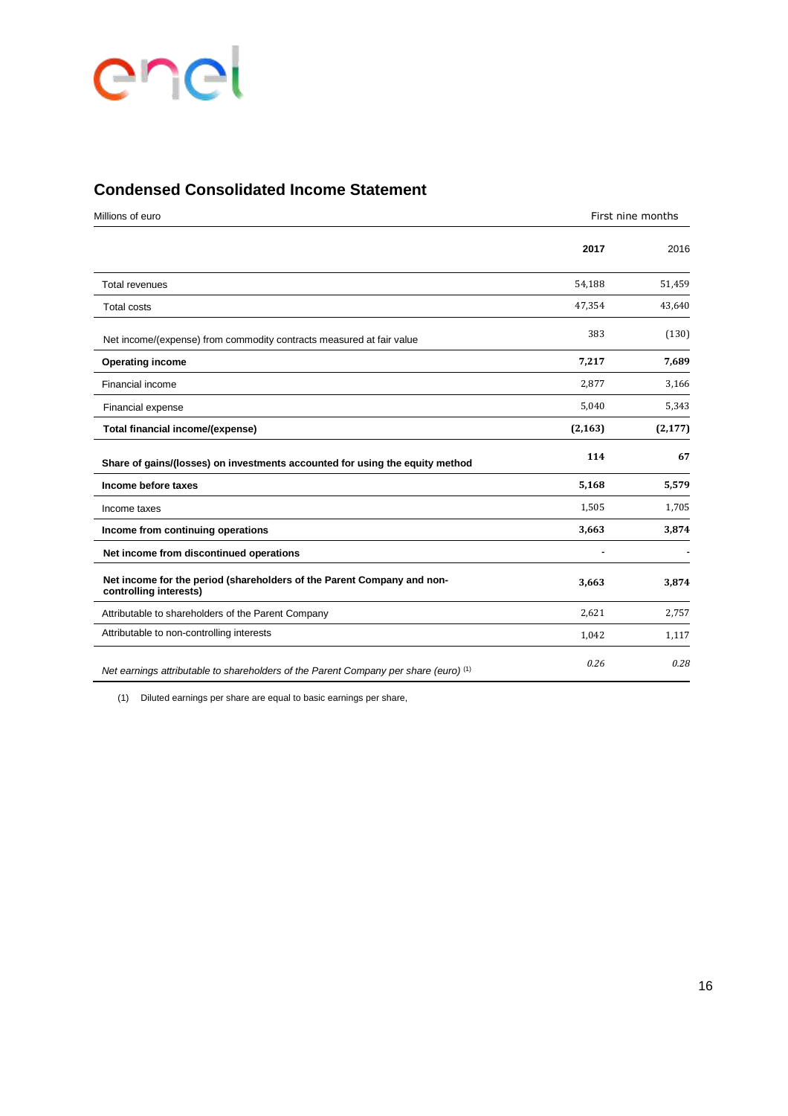# enel

### **Condensed Consolidated Income Statement**

| Millions of euro                                                                                 | First nine months |          |
|--------------------------------------------------------------------------------------------------|-------------------|----------|
|                                                                                                  | 2017              | 2016     |
| <b>Total revenues</b>                                                                            | 54,188            | 51,459   |
| <b>Total costs</b>                                                                               | 47,354            | 43,640   |
| Net income/(expense) from commodity contracts measured at fair value                             | 383               | (130)    |
| <b>Operating income</b>                                                                          | 7,217             | 7,689    |
| Financial income                                                                                 | 2,877             | 3,166    |
| Financial expense                                                                                | 5,040             | 5,343    |
| Total financial income/(expense)                                                                 | (2, 163)          | (2, 177) |
| Share of gains/(losses) on investments accounted for using the equity method                     | 114               | 67       |
| Income before taxes                                                                              | 5,168             | 5,579    |
| Income taxes                                                                                     | 1,505             | 1,705    |
| Income from continuing operations                                                                | 3,663             | 3,874    |
| Net income from discontinued operations                                                          | ٠                 |          |
| Net income for the period (shareholders of the Parent Company and non-<br>controlling interests) | 3,663             | 3,874    |
| Attributable to shareholders of the Parent Company                                               | 2,621             | 2,757    |
| Attributable to non-controlling interests                                                        | 1,042             | 1,117    |
| Net earnings attributable to shareholders of the Parent Company per share (euro) <sup>(1)</sup>  | 0.26              | 0.28     |

(1) Diluted earnings per share are equal to basic earnings per share,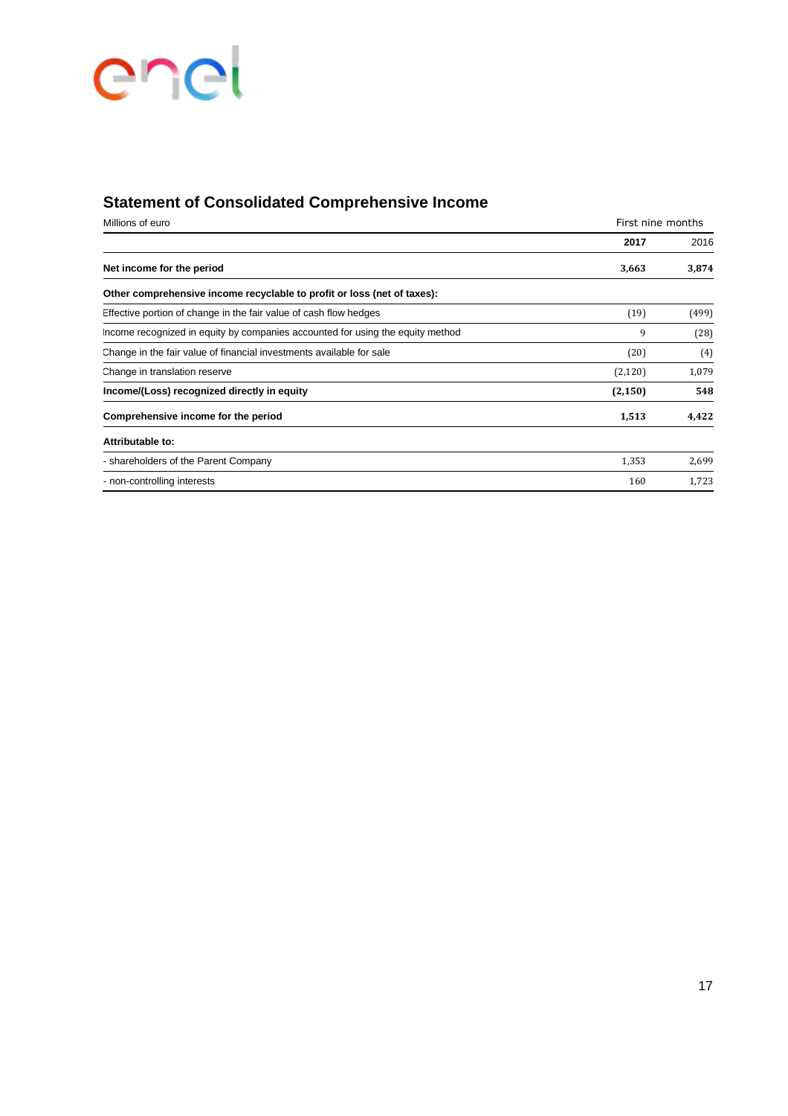# enel

### **Statement of Consolidated Comprehensive Income**

| Millions of euro                                                               | First nine months |       |
|--------------------------------------------------------------------------------|-------------------|-------|
|                                                                                | 2017              | 2016  |
| Net income for the period                                                      | 3,663             | 3,874 |
| Other comprehensive income recyclable to profit or loss (net of taxes):        |                   |       |
| Effective portion of change in the fair value of cash flow hedges              | (19)              | (499) |
| Income recognized in equity by companies accounted for using the equity method | 9                 | (28)  |
| Change in the fair value of financial investments available for sale           | (20)              | (4)   |
| Change in translation reserve                                                  | (2, 120)          | 1,079 |
| Income/(Loss) recognized directly in equity                                    | (2, 150)          | 548   |
| Comprehensive income for the period                                            | 1,513             | 4,422 |
| Attributable to:                                                               |                   |       |
| - shareholders of the Parent Company                                           | 1,353             | 2,699 |
| - non-controlling interests                                                    | 160               | 1,723 |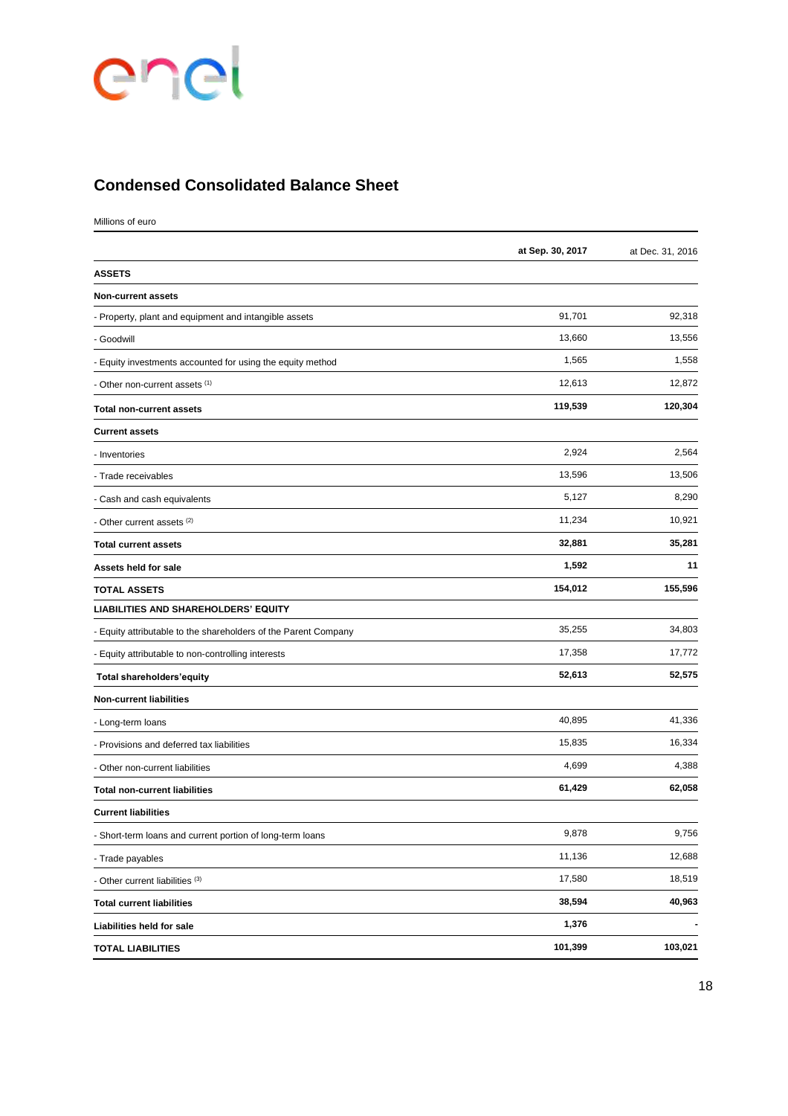# enel

### **Condensed Consolidated Balance Sheet**

Millions of euro

|                                                                 | at Sep. 30, 2017 | at Dec. 31, 2016 |
|-----------------------------------------------------------------|------------------|------------------|
| <b>ASSETS</b>                                                   |                  |                  |
| <b>Non-current assets</b>                                       |                  |                  |
| - Property, plant and equipment and intangible assets           | 91,701           | 92,318           |
| - Goodwill                                                      | 13,660           | 13,556           |
| - Equity investments accounted for using the equity method      | 1,565            | 1,558            |
| - Other non-current assets (1)                                  | 12,613           | 12,872           |
| <b>Total non-current assets</b>                                 | 119,539          | 120,304          |
| <b>Current assets</b>                                           |                  |                  |
| - Inventories                                                   | 2,924            | 2,564            |
| - Trade receivables                                             | 13,596           | 13,506           |
| - Cash and cash equivalents                                     | 5,127            | 8,290            |
| - Other current assets (2)                                      | 11,234           | 10,921           |
| <b>Total current assets</b>                                     | 32,881           | 35,281           |
| Assets held for sale                                            | 1,592            | 11               |
| <b>TOTAL ASSETS</b>                                             | 154,012          | 155,596          |
| <b>LIABILITIES AND SHAREHOLDERS' EQUITY</b>                     |                  |                  |
| - Equity attributable to the shareholders of the Parent Company | 35,255           | 34,803           |
| - Equity attributable to non-controlling interests              | 17,358           | 17,772           |
| Total shareholders'equity                                       | 52,613           | 52,575           |
| <b>Non-current liabilities</b>                                  |                  |                  |
| - Long-term loans                                               | 40,895           | 41,336           |
| - Provisions and deferred tax liabilities                       | 15,835           | 16,334           |
| - Other non-current liabilities                                 | 4,699            | 4,388            |
| <b>Total non-current liabilities</b>                            | 61,429           | 62,058           |
| <b>Current liabilities</b>                                      |                  |                  |
| - Short-term loans and current portion of long-term loans       | 9,878            | 9,756            |
| - Trade payables                                                | 11,136           | 12,688           |
| - Other current liabilities (3)                                 | 17,580           | 18,519           |
| <b>Total current liabilities</b>                                | 38,594           | 40,963           |
| Liabilities held for sale                                       | 1,376            |                  |
| <b>TOTAL LIABILITIES</b>                                        | 101,399          | 103,021          |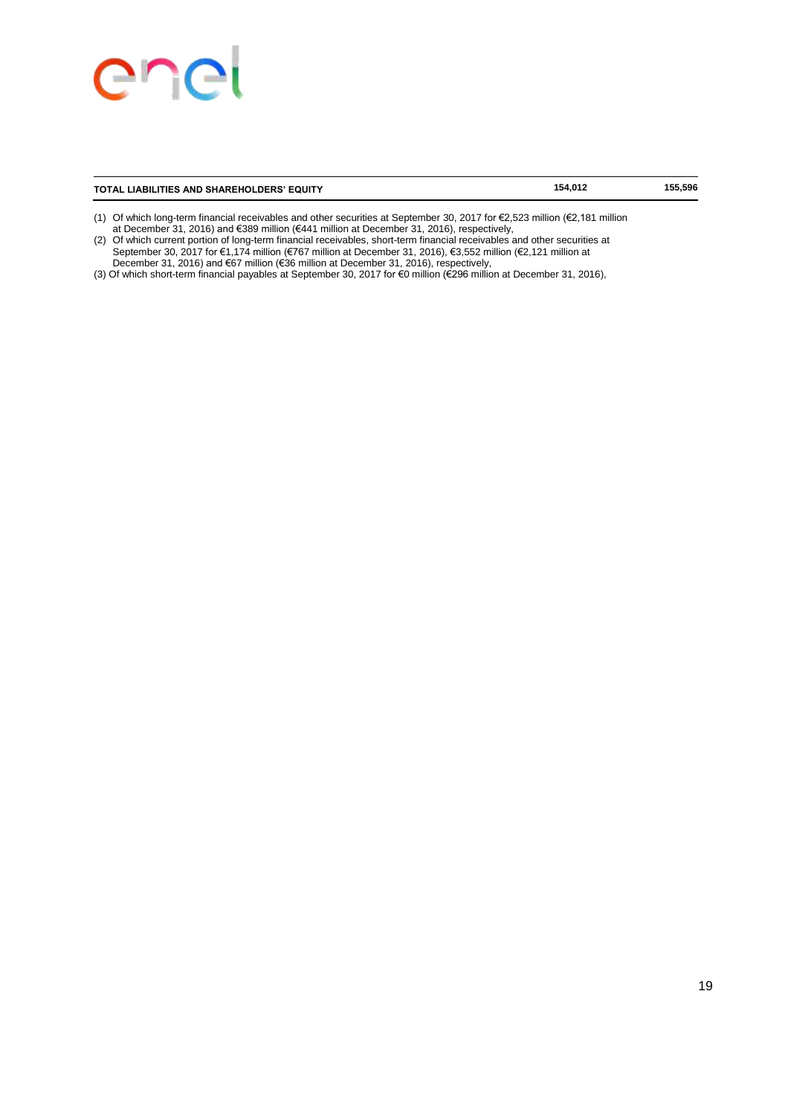### enei

#### **TOTAL LIABILITIES AND SHAREHOLDERS' EQUITY 154,012 155,596**

- (1) Of which long-term financial receivables and other securities at September 30, 2017 for €2,523 million (€2,181 million at December 31, 2016) and €389 million (€441 million at December 31, 2016), respectively,
- (2) Of which current portion of long-term financial receivables, short-term financial receivables and other securities at September 30, 2017 for €1,174 million (€767 million at December 31, 2016), €3,552 million (€2,121 million at December 31, 2016) and €67 million (€36 million at December 31, 2016), respectively,
- (3) Of which short-term financial payables at September 30, 2017 for €0 million (€296 million at December 31, 2016),